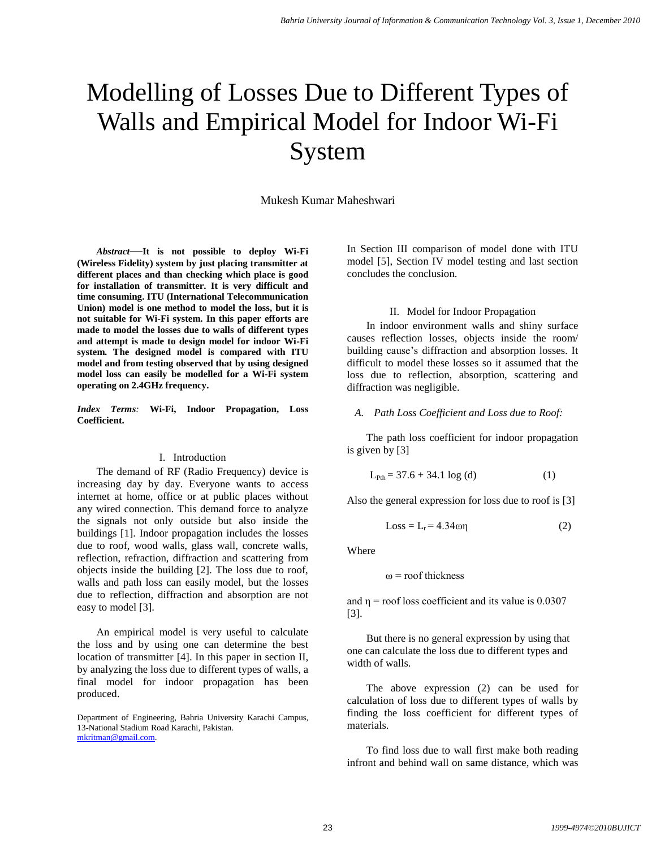# Modelling of Losses Due to Different Types of Walls and Empirical Model for Indoor Wi-Fi System

Mukesh Kumar Maheshwari

*Abstract*—**It is not possible to deploy Wi-Fi (Wireless Fidelity) system by just placing transmitter at different places and than checking which place is good for installation of transmitter. It is very difficult and time consuming. ITU (International Telecommunication Union) model is one method to model the loss, but it is not suitable for Wi-Fi system. In this paper efforts are made to model the losses due to walls of different types and attempt is made to design model for indoor Wi-Fi system. The designed model is compared with ITU model and from testing observed that by using designed model loss can easily be modelled for a Wi-Fi system operating on 2.4GHz frequency.**

*Index Terms:* **Wi-Fi, Indoor Propagation, Loss Coefficient.**

#### I. Introduction

The demand of RF (Radio Frequency) device is increasing day by day. Everyone wants to access internet at home, office or at public places without any wired connection. This demand force to analyze the signals not only outside but also inside the buildings [1]. Indoor propagation includes the losses due to roof, wood walls, glass wall, concrete walls, reflection, refraction, diffraction and scattering from objects inside the building [2]. The loss due to roof, walls and path loss can easily model, but the losses due to reflection, diffraction and absorption are not easy to model [3].

An empirical model is very useful to calculate the loss and by using one can determine the best location of transmitter [4]. In this paper in section II, by analyzing the loss due to different types of walls, a final model for indoor propagation has been produced.

Department of Engineering, Bahria University Karachi Campus, 13-National Stadium Road Karachi, Pakistan. [mkritman@gmail.com.](mailto:mkritman@gmail.com)

In Section III comparison of model done with ITU model [5], Section IV model testing and last section concludes the conclusion.

#### II. Model for Indoor Propagation

In indoor environment walls and shiny surface causes reflection losses, objects inside the room/ building cause's diffraction and absorption losses. It difficult to model these losses so it assumed that the loss due to reflection, absorption, scattering and diffraction was negligible.

#### *A. Path Loss Coefficient and Loss due to Roof:*

The path loss coefficient for indoor propagation is given by [3]

$$
L_{\text{Pth}} = 37.6 + 34.1 \log (d) \tag{1}
$$

Also the general expression for loss due to roof is [3]

$$
Loss = Lr = 4.34\omega\eta
$$
 (2)

Where

 $\omega$  = roof thickness

and  $\eta$  = roof loss coefficient and its value is 0.0307 [3].

But there is no general expression by using that one can calculate the loss due to different types and width of walls.

The above expression (2) can be used for calculation of loss due to different types of walls by finding the loss coefficient for different types of materials.

To find loss due to wall first make both reading infront and behind wall on same distance, which was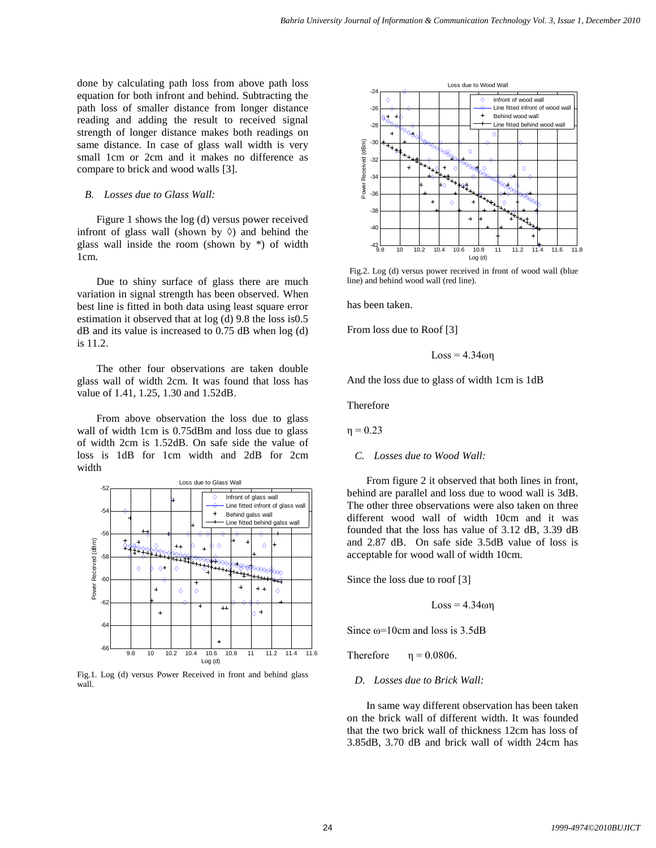done by calculating path loss from above path loss equation for both infront and behind. Subtracting the path loss of smaller distance from longer distance reading and adding the result to received signal strength of longer distance makes both readings on same distance. In case of glass wall width is very small 1cm or 2cm and it makes no difference as compare to brick and wood walls [3].

#### *B. Losses due to Glass Wall:*

Figure 1 shows the log (d) versus power received infront of glass wall (shown by  $\Diamond$ ) and behind the glass wall inside the room (shown by \*) of width 1cm.

Due to shiny surface of glass there are much variation in signal strength has been observed. When best line is fitted in both data using least square error estimation it observed that at log (d) 9.8 the loss is0.5 dB and its value is increased to 0.75 dB when log (d) is 11.2.

The other four observations are taken double glass wall of width 2cm. It was found that loss has value of 1.41, 1.25, 1.30 and 1.52dB.

From above observation the loss due to glass wall of width 1cm is 0.75dBm and loss due to glass of width 2cm is 1.52dB. On safe side the value of loss is 1dB for 1cm width and 2dB for 2cm width



Fig.1. Log (d) versus Power Received in front and behind glass wall.



Fig.2. Log (d) versus power received in front of wood wall (blue line) and behind wood wall (red line).

has been taken.

From loss due to Roof [3]

$$
Loss = 4.34\omega\eta
$$

And the loss due to glass of width 1cm is 1dB

Therefore

 $η = 0.23$ 

*C. Losses due to Wood Wall:*

From figure 2 it observed that both lines in front, behind are parallel and loss due to wood wall is 3dB. The other three observations were also taken on three different wood wall of width 10cm and it was founded that the loss has value of 3.12 dB, 3.39 dB and 2.87 dB. On safe side 3.5dB value of loss is acceptable for wood wall of width 10cm.

Since the loss due to roof [3]

 $Loss = 4.34$ ωη

Since  $\omega$ =10cm and loss is 3.5dB

Therefore  $\eta = 0.0806$ .

*D. Losses due to Brick Wall:*

In same way different observation has been taken on the brick wall of different width. It was founded that the two brick wall of thickness 12cm has loss of 3.85dB, 3.70 dB and brick wall of width 24cm has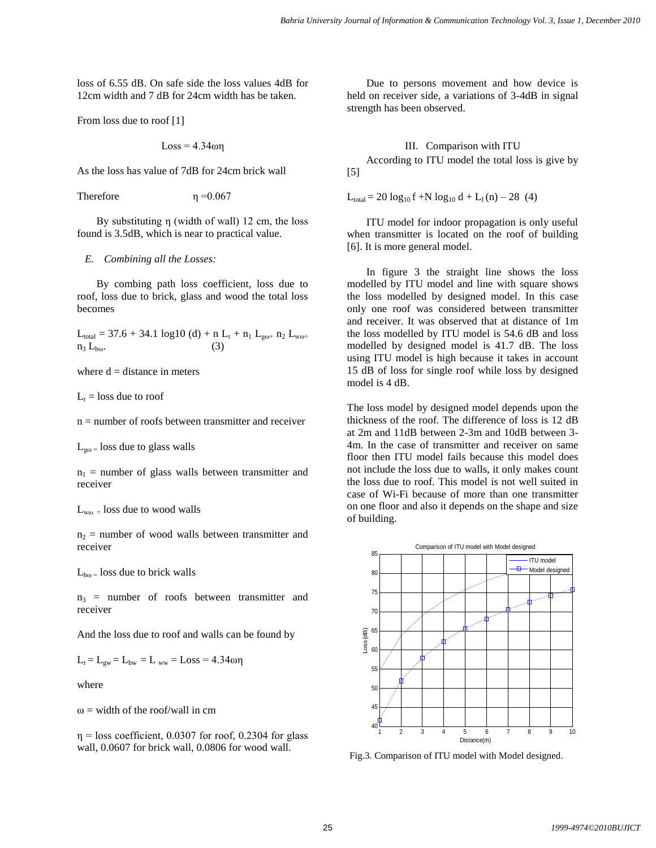loss of 6.55 dB. On safe side the loss values 4dB for 12cm width and 7 dB for 24cm width has be taken.

From loss due to roof [1]

$$
Loss = 4.34\omega\eta
$$

As the loss has value of 7dB for 24cm brick wall

Therefore  $\eta = 0.067$ 

By substituting η (width of wall) 12 cm, the loss found is 3.5dB, which is near to practical value.

#### *E. Combining all the Losses:*

By combing path loss coefficient, loss due to roof, loss due to brick, glass and wood the total loss becomes

 $L_{total} = 37.6 + 34.1 \log 10 (d) + n L_r + n_1 L_{g\omega+} n_2 L_{w\omega+}$  $n_3$   $L_{\text{box}}$ .

where  $d = distance$  in meters

 $L_r =$ loss due to roof

 $n =$  number of roofs between transmitter and receiver

 $L_{\text{go}} =$  loss due to glass walls

 $n_1$  = number of glass walls between transmitter and receiver

 $L_{wo}$  = loss due to wood walls

 $n_2$  = number of wood walls between transmitter and receiver

 $L_{b\omega}$  = loss due to brick walls

 $n_3$  = number of roofs between transmitter and receiver

And the loss due to roof and walls can be found by

 $L_r = L_{gw} = L_{bw} = L_{ww} = Loss = 4.34\omega\eta$ 

where

 $\omega$  = width of the roof/wall in cm

 $\eta$  = loss coefficient, 0.0307 for roof, 0.2304 for glass wall, 0.0607 for brick wall, 0.0806 for wood wall.

Due to persons movement and how device is held on receiver side, a variations of 3-4dB in signal strength has been observed.

### III. Comparison with ITU

According to ITU model the total loss is give by [5]

 $L_{\text{total}} = 20 \log_{10} f + N \log_{10} d + L_f(n) - 28$  (4)

ITU model for indoor propagation is only useful when transmitter is located on the roof of building [6]. It is more general model.

In figure 3 the straight line shows the loss modelled by ITU model and line with square shows the loss modelled by designed model. In this case only one roof was considered between transmitter and receiver. It was observed that at distance of 1m the loss modelled by ITU model is 54.6 dB and loss modelled by designed model is 41.7 dB. The loss using ITU model is high because it takes in account 15 dB of loss for single roof while loss by designed model is 4 dB.

The loss model by designed model depends upon the thickness of the roof. The difference of loss is 12 dB at 2m and 11dB between 2-3m and 10dB between 3- 4m. In the case of transmitter and receiver on same floor then ITU model fails because this model does not include the loss due to walls, it only makes count the loss due to roof. This model is not well suited in case of Wi-Fi because of more than one transmitter on one floor and also it depends on the shape and size of building.



Fig.3. Comparison of ITU model with Model designed.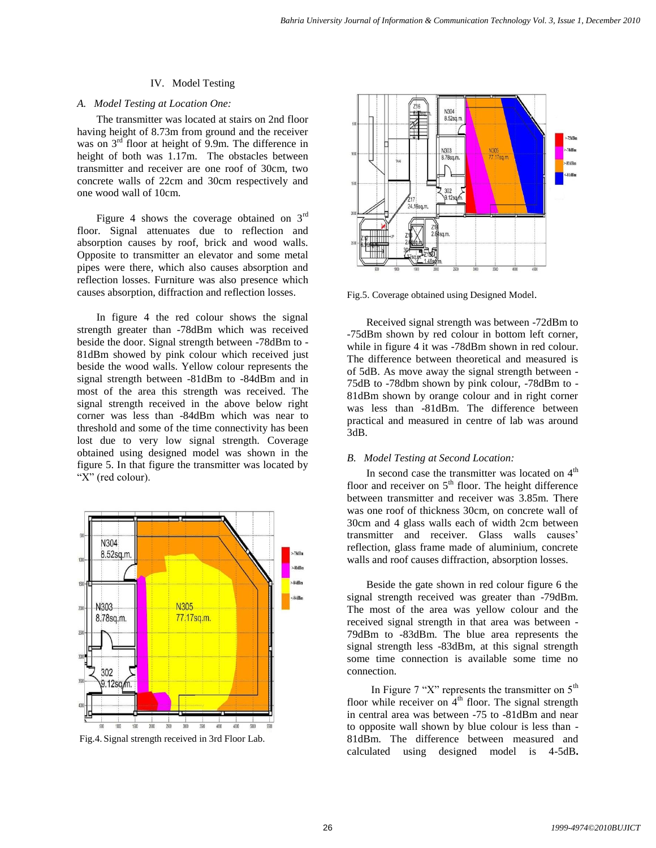# IV. Model Testing

# *A. Model Testing at Location One:*

The transmitter was located at stairs on 2nd floor having height of 8.73m from ground and the receiver was on  $3<sup>rd</sup>$  floor at height of 9.9m. The difference in height of both was 1.17m. The obstacles between transmitter and receiver are one roof of 30cm, two concrete walls of 22cm and 30cm respectively and one wood wall of 10cm.

Figure 4 shows the coverage obtained on  $3<sup>rd</sup>$ floor. Signal attenuates due to reflection and absorption causes by roof, brick and wood walls. Opposite to transmitter an elevator and some metal pipes were there, which also causes absorption and reflection losses. Furniture was also presence which causes absorption, diffraction and reflection losses.

In figure 4 the red colour shows the signal strength greater than -78dBm which was received beside the door. Signal strength between -78dBm to - 81dBm showed by pink colour which received just beside the wood walls. Yellow colour represents the signal strength between -81dBm to -84dBm and in most of the area this strength was received. The signal strength received in the above below right corner was less than -84dBm which was near to threshold and some of the time connectivity has been lost due to very low signal strength. Coverage obtained using designed model was shown in the figure 5. In that figure the transmitter was located by "X" (red colour).



Fig.4. Signal strength received in 3rd Floor Lab.



Fig.5. Coverage obtained using Designed Model.

Received signal strength was between -72dBm to -75dBm shown by red colour in bottom left corner, while in figure 4 it was -78dBm shown in red colour. The difference between theoretical and measured is of 5dB. As move away the signal strength between - 75dB to -78dbm shown by pink colour, -78dBm to - 81dBm shown by orange colour and in right corner was less than -81dBm. The difference between practical and measured in centre of lab was around 3dB.

# *B. Model Testing at Second Location:*

In second case the transmitter was located on  $4<sup>th</sup>$ floor and receiver on  $5<sup>th</sup>$  floor. The height difference between transmitter and receiver was 3.85m. There was one roof of thickness 30cm, on concrete wall of 30cm and 4 glass walls each of width 2cm between transmitter and receiver. Glass walls causes' reflection, glass frame made of aluminium, concrete walls and roof causes diffraction, absorption losses.

Beside the gate shown in red colour figure 6 the signal strength received was greater than -79dBm. The most of the area was yellow colour and the received signal strength in that area was between - 79dBm to -83dBm. The blue area represents the signal strength less -83dBm, at this signal strength some time connection is available some time no connection.

In Figure 7 "X" represents the transmitter on  $5<sup>th</sup>$ floor while receiver on  $4<sup>th</sup>$  floor. The signal strength in central area was between -75 to -81dBm and near to opposite wall shown by blue colour is less than - 81dBm. The difference between measured and calculated using designed model is 4-5dB**.**